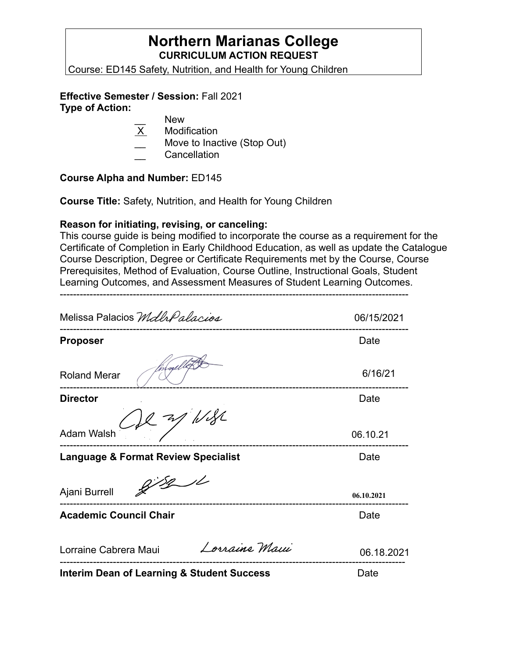# **Northern Marianas College CURRICULUM ACTION REQUEST**

Course: ED145 Safety, Nutrition, and Health for Young Children

# **Effective Semester / Session:** Fall 2021

**Type of Action:** 

- New
- X Modification
- Move to Inactive (Stop Out)
- **Cancellation**

# **Course Alpha and Number:** ED145

**Course Title:** Safety, Nutrition, and Health for Young Children

# **Reason for initiating, revising, or canceling:**

--------------------------------------------------------------------------------------------------------- This course guide is being modified to incorporate the course as a requirement for the Certificate of Completion in Early Childhood Education, as well as update the Catalogue Course Description, Degree or Certificate Requirements met by the Course, Course Prerequisites, Method of Evaluation, Course Outline, Instructional Goals, Student Learning Outcomes, and Assessment Measures of Student Learning Outcomes.

| Melissa Palacios Mdlr Palacios                        | 06/15/2021 |
|-------------------------------------------------------|------------|
| <b>Proposer</b>                                       | Date       |
| <b>Roland Merar</b>                                   | 6/16/21    |
| <b>Director</b>                                       | Date       |
| 2127/1132<br><b>Adam Walsh</b>                        | 06.10.21   |
| <b>Language &amp; Format Review Specialist</b>        | Date       |
| 8/8/1<br>Ajani Burrell                                | 06.10.2021 |
| <b>Academic Council Chair</b>                         | Date       |
| Lorraine Maui<br>Lorraine Cabrera Maui                | 06.18.2021 |
| <b>Interim Dean of Learning &amp; Student Success</b> | Date       |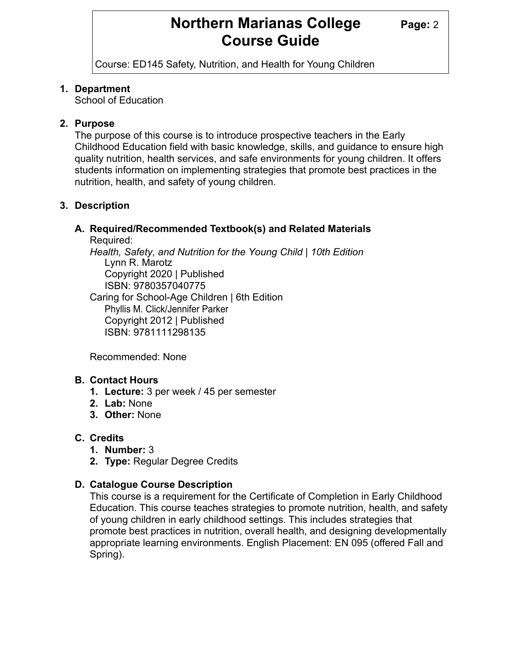# **Northern Marianas College Page: 2 Course Guide**

Course: ED145 Safety, Nutrition, and Health for Young Children

#### **1. Department**

School of Education

### **2. Purpose**

The purpose of this course is to introduce prospective teachers in the Early Childhood Education field with basic knowledge, skills, and guidance to ensure high quality nutrition, health services, and safe environments for young children. It offers students information on implementing strategies that promote best practices in the nutrition, health, and safety of young children.

# **3. Description**

# **A. Required/Recommended Textbook(s) and Related Materials**

Required:

*Health, Safety, and Nutrition for the Young Child | 10th Edition* Lynn R. Marotz Copyright 2020 | Published ISBN: 9780357040775 Caring for School-Age Children | 6th Edition

Phyllis M. Click/Jennifer Parker Copyright 2012 | Published ISBN: 9781111298135

Recommended: None

# **B. Contact Hours**

- **1. Lecture:** 3 per week / 45 per semester
- **2. Lab:** None
- **3. Other:** None

# **C. Credits**

- **1. Number:** 3
- **2. Type:** Regular Degree Credits

# **D. Catalogue Course Description**

This course is a requirement for the Certificate of Completion in Early Childhood Education. This course teaches strategies to promote nutrition, health, and safety of young children in early childhood settings. This includes strategies that promote best practices in nutrition, overall health, and designing developmentally appropriate learning environments. English Placement: EN 095 (offered Fall and Spring).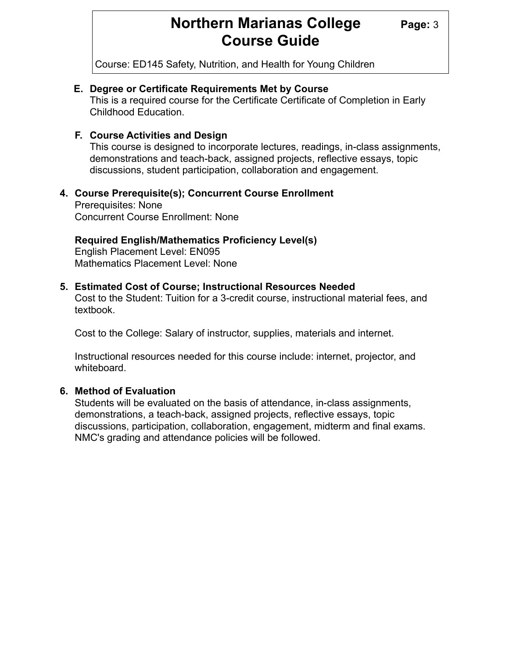# **Northern Marianas College Page: 3 Course Guide**

Course: ED145 Safety, Nutrition, and Health for Young Children

#### **E. Degree or Certificate Requirements Met by Course**

This is a required course for the Certificate Certificate of Completion in Early Childhood Education.

#### **F. Course Activities and Design**

This course is designed to incorporate lectures, readings, in-class assignments, demonstrations and teach-back, assigned projects, reflective essays, topic discussions, student participation, collaboration and engagement.

# **4. Course Prerequisite(s); Concurrent Course Enrollment**

 Prerequisites: None Concurrent Course Enrollment: None

#### **Required English/Mathematics Proficiency Level(s)**

 English Placement Level: EN095 Mathematics Placement Level: None

#### **5. Estimated Cost of Course; Instructional Resources Needed**

 Cost to the Student: Tuition for a 3-credit course, instructional material fees, and textbook.

Cost to the College: Salary of instructor, supplies, materials and internet.

 Instructional resources needed for this course include: internet, projector, and whiteboard.

# **6. Method of Evaluation**

 Students will be evaluated on the basis of attendance, in-class assignments, demonstrations, a teach-back, assigned projects, reflective essays, topic discussions, participation, collaboration, engagement, midterm and final exams. NMC's grading and attendance policies will be followed.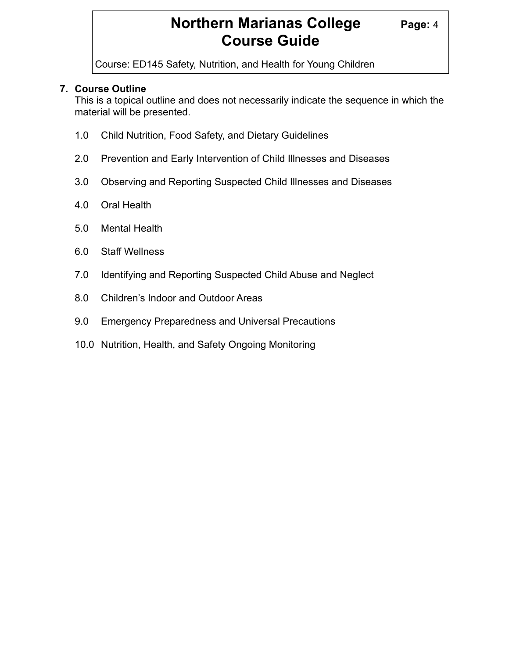# **Northern Marianas College** Page: 4 **Course Guide**

Course: ED145 Safety, Nutrition, and Health for Young Children

# **7. Course Outline**

 This is a topical outline and does not necessarily indicate the sequence in which the material will be presented.

- 1.0 Child Nutrition, Food Safety, and Dietary Guidelines
- 2.0 Prevention and Early Intervention of Child Illnesses and Diseases
- 3.0 Observing and Reporting Suspected Child Illnesses and Diseases
- 4.0 Oral Health
- 5.0 Mental Health
- 6.0 Staff Wellness
- 7.0 Identifying and Reporting Suspected Child Abuse and Neglect
- 8.0 Children's Indoor and Outdoor Areas
- 9.0 Emergency Preparedness and Universal Precautions
- 10.0 Nutrition, Health, and Safety Ongoing Monitoring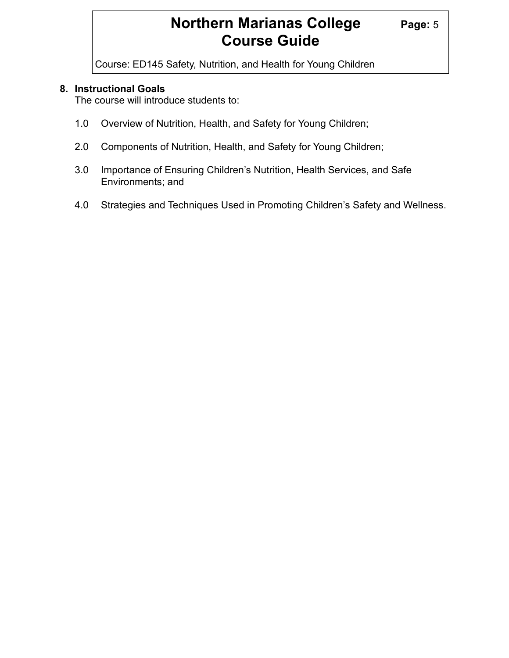# **Northern Marianas College Page: 5 Course Guide**

Course: ED145 Safety, Nutrition, and Health for Young Children

#### **8. Instructional Goals**

The course will introduce students to:

- 1.0 Overview of Nutrition, Health, and Safety for Young Children;
- 2.0 Components of Nutrition, Health, and Safety for Young Children;
- 3.0 Importance of Ensuring Children's Nutrition, Health Services, and Safe Environments; and
- 4.0 Strategies and Techniques Used in Promoting Children's Safety and Wellness.